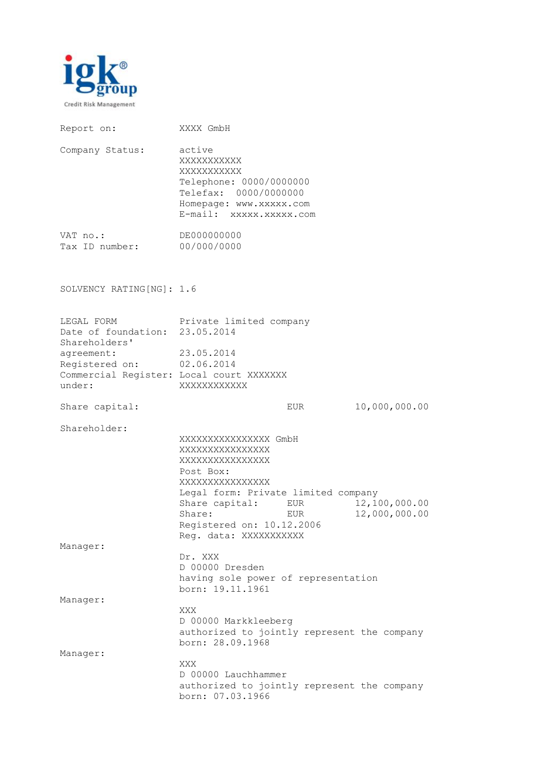

| Report on:                                                                                                                                                     | XXXX GmbH                                                                                                                                                                                                                        |                                |
|----------------------------------------------------------------------------------------------------------------------------------------------------------------|----------------------------------------------------------------------------------------------------------------------------------------------------------------------------------------------------------------------------------|--------------------------------|
| Company Status:                                                                                                                                                | active<br>XXXXXXXXXXX<br>XXXXXXXXXXX<br>Telephone: 0000/0000000<br>Telefax: 0000/0000000<br>Homepage: www.xxxxx.com<br>E-mail: xxxxx.xxxxx.com                                                                                   |                                |
| VAT no.:<br>Tax ID number: 00/000/0000                                                                                                                         | DE000000000                                                                                                                                                                                                                      |                                |
| SOLVENCY RATING[NG]: 1.6                                                                                                                                       |                                                                                                                                                                                                                                  |                                |
| LEGAL FORM<br>Date of foundation: 23.05.2014<br>Shareholders'<br>agreement:<br>Registered on: 02.06.2014<br>Commercial Register: Local court XXXXXXX<br>under: | Private limited company<br>23.05.2014<br>XXXXXXXXXXX                                                                                                                                                                             |                                |
| Share capital:                                                                                                                                                 | EUR                                                                                                                                                                                                                              | 10,000,000.00                  |
| Shareholder:                                                                                                                                                   | XXXXXXXXXXXXXXX GmbH<br>XXXXXXXXXXXXXXX<br>XXXXXXXXXXXXXXXX<br>Post Box:<br>XXXXXXXXXXXXXXXX<br>Legal form: Private limited company<br>Share capital: EUR<br>Share:<br>EUR<br>Registered on: 10.12.2006<br>Reg. data: XXXXXXXXXX | 12,100,000.00<br>12,000,000.00 |
| Manager:                                                                                                                                                       | Dr. XXX<br>D 00000 Dresden<br>having sole power of representation<br>born: 19.11.1961                                                                                                                                            |                                |
| Manager:                                                                                                                                                       | XXX<br>D 00000 Markkleeberg<br>authorized to jointly represent the company<br>born: 28.09.1968                                                                                                                                   |                                |
| Manager:                                                                                                                                                       | XXX<br>D 00000 Lauchhammer<br>authorized to jointly represent the company<br>born: 07.03.1966                                                                                                                                    |                                |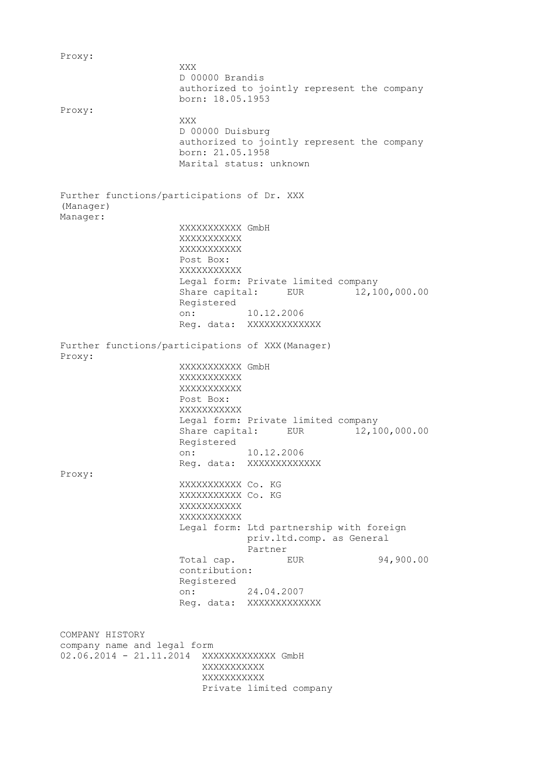Proxy: XXX D 00000 Brandis authorized to jointly represent the company born: 18.05.1953 Proxy: XXX D 00000 Duisburg authorized to jointly represent the company born: 21.05.1958 Marital status: unknown Further functions/participations of Dr. XXX (Manager) Manager: XXXXXXXXXXX GmbH XXXXXXXXXXX XXXXXXXXXXX Post Box: XXXXXXXXXXX Legal form: Private limited company Share capital: EUR 12,100,000.00 Registered on: 10.12.2006 Reg. data: XXXXXXXXXXXX Further functions/participations of XXX(Manager) Proxy: XXXXXXXXXXX GmbH XXXXXXXXXXX XXXXXXXXXXX Post Box: XXXXXXXXXXX Legal form: Private limited company Share capital: EUR 12,100,000.00 Registered on: 10.12.2006 Reg. data: XXXXXXXXXXXXX Proxy: XXXXXXXXXXX Co. KG XXXXXXXXXXX Co. KG **XXXXXXXXXX** XXXXXXXXXXX Legal form: Ltd partnership with foreign priv.ltd.comp. as General Partner Total cap. EUR 94,900.00 contribution: Registered on: 24.04.2007 Reg. data: XXXXXXXXXXXXX COMPANY HISTORY company name and legal form 02.06.2014 - 21.11.2014 XXXXXXXXXXXXX GmbH XXXXXXXXXXX XXXXXXXXXXX Private limited company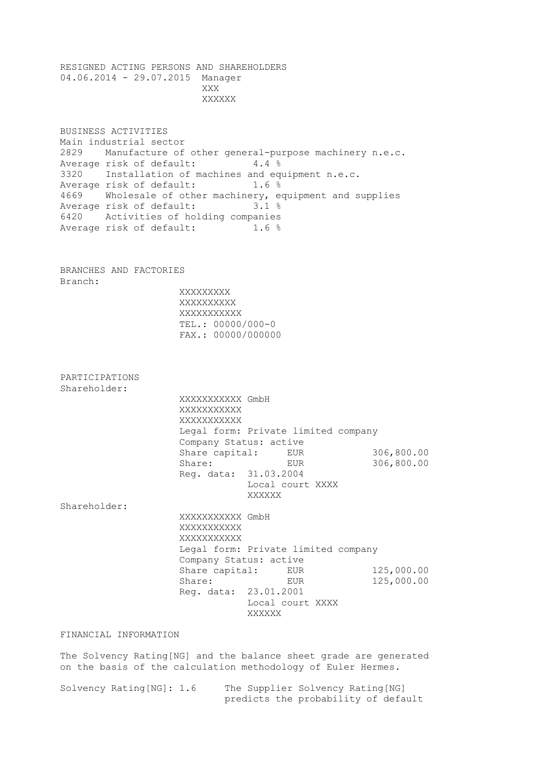RESIGNED ACTING PERSONS AND SHAREHOLDERS 04.06.2014 - 29.07.2015 Manager **XXX** XXXXXX

BUSINESS ACTIVITIES Main industrial sector 2829 Manufacture of other general-purpose machinery n.e.c. Average risk of default: 4.4 % 3320 Installation of machines and equipment n.e.c. Average risk of default: 1.6 % 4669 Wholesale of other machinery, equipment and supplies Average risk of default: 3.1 % 6420 Activities of holding companies Average risk of default: 1.6 %

BRANCHES AND FACTORIES Branch:

 XXXXXXXXX XXXXXXXXXX XXXXXXXXXXX TEL.: 00000/000-0 FAX.: 00000/000000

PARTICIPATIONS Shareholder:

> XXXXXXXXXXX GmbH XXXXXXXXXXX XXXXXXXXXXX Legal form: Private limited company Company Status: active Share capital: EUR 306,800.00 Share: EUR 306,800.00 Reg. data: 31.03.2004 Local court XXXX XXXXXX

Shareholder:

 XXXXXXXXXXX GmbH XXXXXXXXXXX XXXXXXXXXXX Legal form: Private limited company Company Status: active Share capital: EUR 125,000.00 Share: EUR 125,000.00 Reg. data: 23.01.2001 Local court XXXX XXXXXX

FINANCIAL INFORMATION

The Solvency Rating[NG] and the balance sheet grade are generated on the basis of the calculation methodology of Euler Hermes.

| Solvency Rating[NG]: 1.6 |  |  | The Supplier Solvency Rating[NG]    |  |  |
|--------------------------|--|--|-------------------------------------|--|--|
|                          |  |  | predicts the probability of default |  |  |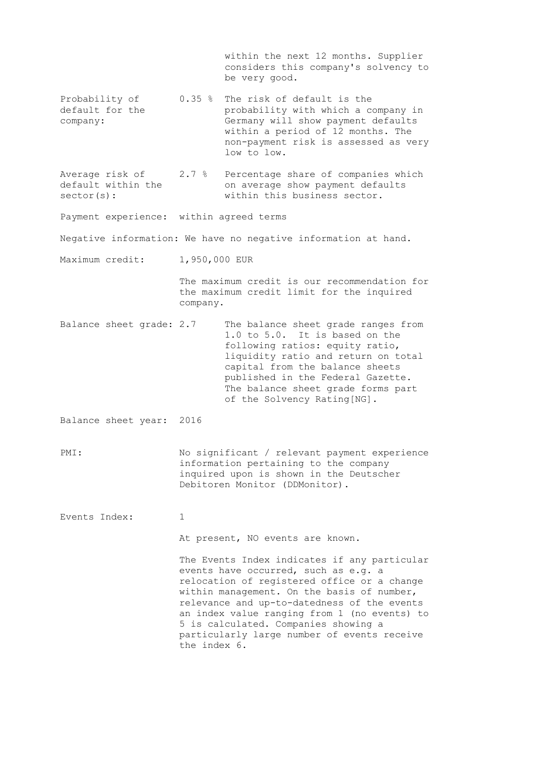within the next 12 months. Supplier considers this company's solvency to be very good. Probability of 0.35 % The risk of default is the default for the probability with which a company in company: Germany will show payment defaults within a period of 12 months. The non-payment risk is assessed as very low to low. Average risk of 2.7 % Percentage share of companies which default within the on average show payment defaults sector(s):  $within this business sector.$ Payment experience: within agreed terms Negative information: We have no negative information at hand. Maximum credit: 1,950,000 EUR The maximum credit is our recommendation for the maximum credit limit for the inquired company. Balance sheet grade: 2.7 The balance sheet grade ranges from 1.0 to 5.0. It is based on the following ratios: equity ratio, liquidity ratio and return on total capital from the balance sheets published in the Federal Gazette. The balance sheet grade forms part of the Solvency Rating[NG]. Balance sheet year: 2016 PMI: No significant / relevant payment experience information pertaining to the company inquired upon is shown in the Deutscher Debitoren Monitor (DDMonitor). Events Index: 1 At present, NO events are known. The Events Index indicates if any particular events have occurred, such as e.g. a relocation of registered office or a change within management. On the basis of number, relevance and up-to-datedness of the events an index value ranging from 1 (no events) to 5 is calculated. Companies showing a particularly large number of events receive the index 6.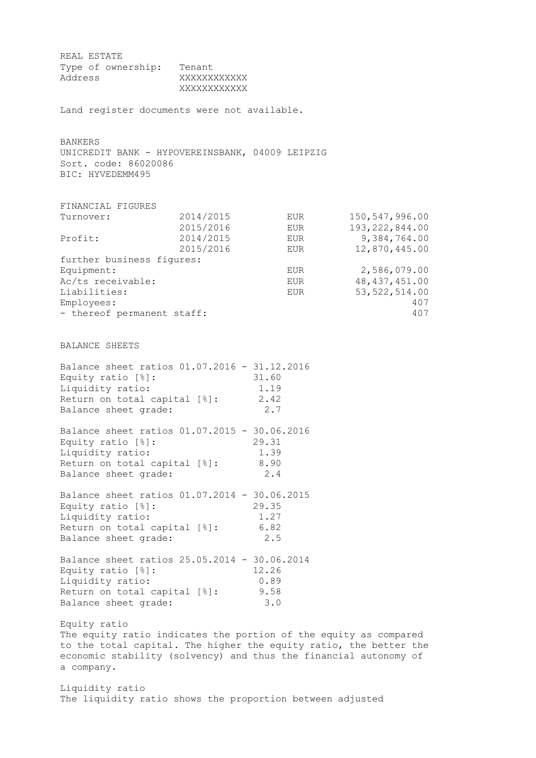REAL ESTATE Type of ownership: Tenant Address XXXXXXXXXXXX XXXXXXXXXXXX Land register documents were not available. BANKERS UNICREDIT BANK - HYPOVEREINSBANK, 04009 LEIPZIG Sort. code: 86020086 BIC: HYVEDEMM495 FINANCIAL FIGURES Turnover: 2014/2015 EUR 150,547,996.00 2015/2016 EUR 193,222,844.00 Profit: 2014/2015 EUR 9,384,764.00 2015/2016 EUR 12,870,445.00 further business figures: Equipment: Equipment: EUR 2,586,079.00 Ac/ts receivable: EUR 48,437,451.00 Liabilities: EUR 53,522,514.00 Employees: 407 - thereof permanent staff: 407 BALANCE SHEETS Balance sheet ratios  $01.07.2016 - 31.12.2016$ <br>Equity ratio  $[%]:$  31.60 Equity ratio [%]: 31.60 Liquidity ratio: 1.19 Return on total capital [%]: 2.42 Balance sheet grade: 2.7 Balance sheet ratios 01.07.2015 - 30.06.2016 Equity ratio [%]: 29.31 Liquidity ratio: 1.39 Return on total capital [%]: 8.90 Balance sheet grade: 2.4 Balance sheet ratios 01.07.2014 - 30.06.2015 Equity ratio [%]: 29.35 Liquidity ratio: 1.27 Return on total capital [%]: 6.82 Balance sheet grade: 2.5 Balance sheet ratios 25.05.2014 - 30.06.2014 Equity ratio [%]: 12.26<br>
Liquidity ratio: 0.89 Liquidity ratio: Return on total capital [%]: 9.58 Balance sheet grade: 3.0 Equity ratio The equity ratio indicates the portion of the equity as compared to the total capital. The higher the equity ratio, the better the economic stability (solvency) and thus the financial autonomy of a company. Liquidity ratio The liquidity ratio shows the proportion between adjusted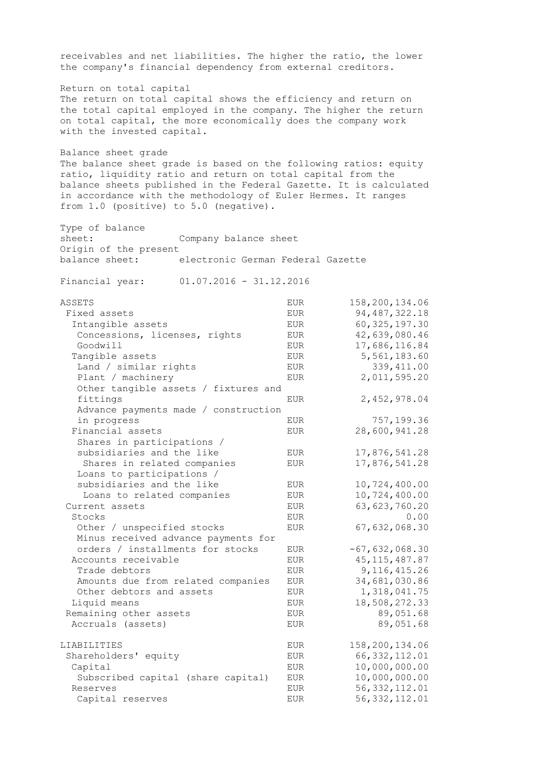receivables and net liabilities. The higher the ratio, the lower the company's financial dependency from external creditors. Return on total capital The return on total capital shows the efficiency and return on the total capital employed in the company. The higher the return on total capital, the more economically does the company work with the invested capital. Balance sheet grade The balance sheet grade is based on the following ratios: equity ratio, liquidity ratio and return on total capital from the balance sheets published in the Federal Gazette. It is calculated in accordance with the methodology of Euler Hermes. It ranges from 1.0 (positive) to 5.0 (negative). Type of balance sheet: Company balance sheet Origin of the present balance sheet: electronic German Federal Gazette Financial year: 01.07.2016 - 31.12.2016 ASSETS EUR 158,200,134.06 Fixed assets EUR BUR 94,487,322.18 Intangible assets<br>
Concessions, licenses, rights<br>
EUR 42,639,080.46 Concessions, licenses, rights EUR Goodwill EUR 17,686,116.84 Tangible assets EUR 5,561,183.60 Land / similar rights EUR EUR 339,411.00 Plant / machinery EUR 2,011,595.20 Other tangible assets / fixtures and fittings EUR 2,452,978.04 Advance payments made / construction in progress and the EUR FIT of the ST and the EUR T57,199.36 Financial assets EUR 28,600,941.28 Shares in participations / subsidiaries and the like EUR 17,876,541.28 Shares in related companies EUR 17,876,541.28 Loans to participations / subsidiaries and the like EUR 10,724,400.00 Loans to related companies EUR 10,724,400.00 Current assets EUR 63,623,760.20 Stocks BUR DO CONTROLLER EUR DO CONTROLLER DESCRIPTION OF A SERVICE OF A SERVICE OF A SERVICE OF A SERVICE OF A SERVICE OF A SERVICE OF A SERVICE OF A SERVICE OF A SERVICE OF A SERVICE OF A SERVICE OF A SERVICE OF A SERVIC Other / unspecified stocks EUR 67,632,068.30 Minus received advance payments for orders / installments for stocks EUR -67,632,068.30 Accounts receivable  $EUR$  45,115,487.87 Trade debtors EUR 5,116,415.26 Amounts due from related companies EUR 34,681,030.86 Other debtors and assets EUR 1,318,041.75 Liquid means **EUR** 18,508,272.33 Remaining other assets EUR EUR 89,051.68 Accruals (assets) The EUR EUR 89,051.68 LIABILITIES EUR 158,200,134.06 Shareholders' equity EUR 66,332,112.01 Capital EUR 10,000,000.00 Subscribed capital (share capital) EUR 10,000,000.00 Reserves EUR 56,332,112.01 Capital reserves EUR 56,332,112.01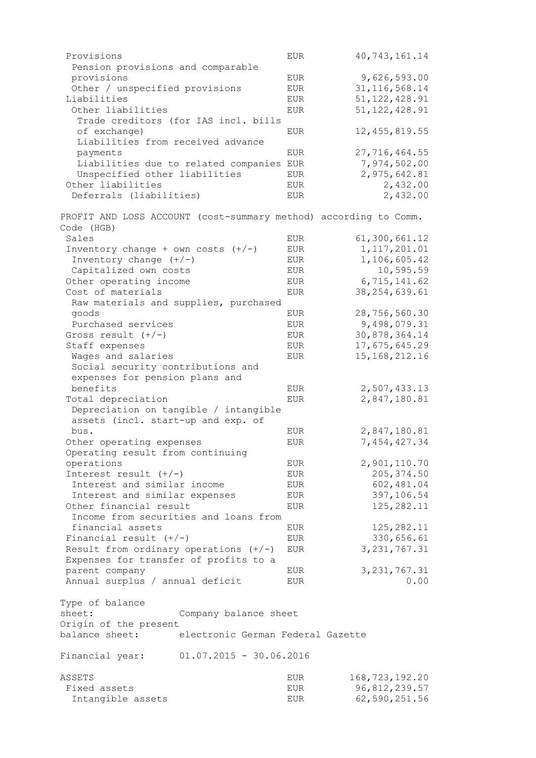| Provisions                                                       | <b>EUR</b> | 40, 743, 161.14  |
|------------------------------------------------------------------|------------|------------------|
| Pension provisions and comparable                                |            |                  |
| provisions                                                       | EUR        | 9,626,593.00     |
| Other / unspecified provisions                                   | EUR        | 31, 116, 568.14  |
| Liabilities                                                      | EUR        | 51, 122, 428.91  |
| Other liabilities                                                | <b>EUR</b> | 51, 122, 428.91  |
| Trade creditors (for IAS incl. bills                             |            |                  |
|                                                                  |            |                  |
| of exchange)                                                     | <b>EUR</b> | 12, 455, 819.55  |
| Liabilities from received advance                                |            |                  |
| payments                                                         | EUR        | 27,716,464.55    |
| Liabilities due to related companies                             | EUR        | 7,974,502.00     |
| Unspecified other liabilities                                    | <b>EUR</b> | 2,975,642.81     |
| Other liabilities                                                | EUR        | 2,432.00         |
| Deferrals (liabilities)                                          | EUR        | 2,432.00         |
|                                                                  |            |                  |
| PROFIT AND LOSS ACCOUNT (cost-summary method) according to Comm. |            |                  |
| Code (HGB)                                                       |            |                  |
| Sales                                                            | <b>EUR</b> | 61,300,661.12    |
| Inventory change + own costs $(+/-)$                             | <b>EUR</b> | 1, 117, 201.01   |
| Inventory change $(+/-)$                                         | <b>EUR</b> | 1,106,605.42     |
| Capitalized own costs                                            | <b>EUR</b> | 10,595.59        |
| Other operating income                                           | EUR        | 6,715,141.62     |
| Cost of materials                                                | <b>EUR</b> | 38, 254, 639.61  |
|                                                                  |            |                  |
| Raw materials and supplies, purchased                            |            |                  |
| goods                                                            | <b>EUR</b> | 28,756,560.30    |
| Purchased services                                               | EUR        | 9,498,079.31     |
| Gross result $(+/-)$                                             | <b>EUR</b> | 30,878,364.14    |
| Staff expenses                                                   | EUR        | 17,675,645.29    |
| Wages and salaries                                               | EUR        | 15, 168, 212. 16 |
| Social security contributions and                                |            |                  |
| expenses for pension plans and                                   |            |                  |
| benefits                                                         | <b>EUR</b> | 2,507,433.13     |
|                                                                  |            |                  |
| Total depreciation                                               | <b>EUR</b> | 2,847,180.81     |
| Depreciation on tangible / intangible                            |            |                  |
| assets (incl. start-up and exp. of                               |            |                  |
| bus.                                                             | EUR        | 2,847,180.81     |
| Other operating expenses                                         | <b>EUR</b> | 7,454,427.34     |
| Operating result from continuing                                 |            |                  |
| operations                                                       | EUR        | 2,901,110.70     |
| Interest result $(+/-)$                                          | EUR        | 205, 374.50      |
| Interest and similar income                                      | EUR        | 602,481.04       |
|                                                                  |            |                  |
| Interest and similar expenses                                    | EUR        | 397,106.54       |
| Other financial result                                           | EUR        | 125, 282.11      |
| Income from securities and loans from                            |            |                  |
| financial assets                                                 | EUR        | 125, 282.11      |
| Financial result $(+/-)$                                         | EUR        | 330,656.61       |
| Result from ordinary operations $(+/-)$                          | EUR        | 3, 231, 767.31   |
| Expenses for transfer of profits to a                            |            |                  |
| parent company                                                   | EUR        | 3, 231, 767.31   |
| Annual surplus / annual deficit                                  | EUR        | 0.00             |
|                                                                  |            |                  |
| Type of balance                                                  |            |                  |
| sheet:<br>Company balance sheet                                  |            |                  |
| Origin of the present                                            |            |                  |
| balance sheet:<br>electronic German Federal Gazette              |            |                  |
| $01.07.2015 - 30.06.2016$<br>Financial year:                     |            |                  |
|                                                                  |            |                  |
| ASSETS                                                           | EUR        | 168, 723, 192.20 |
| Fixed assets                                                     | EUR        | 96,812,239.57    |
| Intangible assets                                                | EUR        | 62,590,251.56    |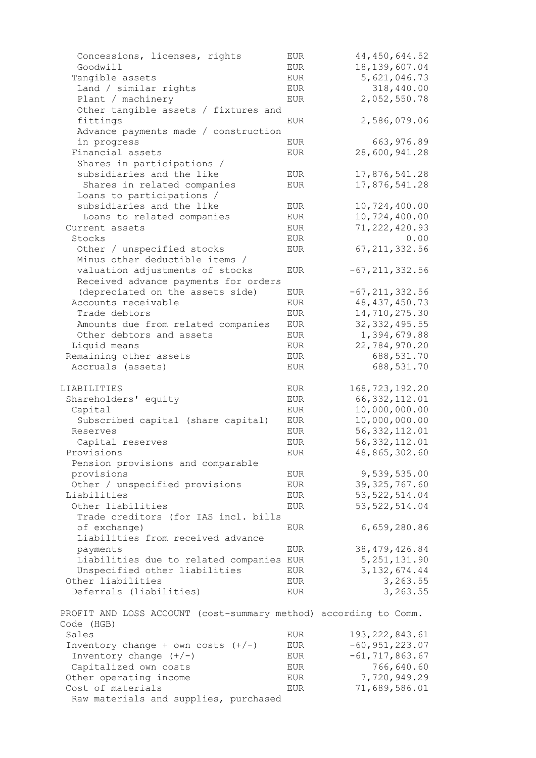| Concessions, licenses, rights                                    | EUR         | 44, 450, 644.52    |
|------------------------------------------------------------------|-------------|--------------------|
| Goodwill                                                         | EUR         | 18, 139, 607.04    |
| Tangible assets                                                  | EUR         | 5,621,046.73       |
| Land / similar rights                                            | <b>EUR</b>  | 318,440.00         |
| Plant / machinery                                                | <b>EUR</b>  | 2,052,550.78       |
| Other tangible assets / fixtures and                             |             |                    |
| fittings                                                         | <b>EUR</b>  | 2,586,079.06       |
| Advance payments made / construction                             |             |                    |
| in progress                                                      | <b>EUR</b>  | 663, 976.89        |
| Financial assets                                                 | <b>EUR</b>  | 28,600,941.28      |
| Shares in participations /                                       |             |                    |
| subsidiaries and the like                                        | EUR         | 17,876,541.28      |
| Shares in related companies                                      | <b>EUR</b>  | 17,876,541.28      |
| Loans to participations /                                        |             |                    |
| subsidiaries and the like                                        | EUR         | 10,724,400.00      |
| Loans to related companies                                       |             | 10,724,400.00      |
|                                                                  | EUR         |                    |
| Current assets                                                   | <b>EUR</b>  | 71, 222, 420.93    |
| Stocks                                                           | <b>EUR</b>  | 0.00               |
| Other / unspecified stocks                                       | <b>EUR</b>  | 67, 211, 332.56    |
| Minus other deductible items /                                   |             |                    |
| valuation adjustments of stocks                                  | <b>EUR</b>  | $-67, 211, 332.56$ |
| Received advance payments for orders                             |             |                    |
| (depreciated on the assets side)                                 | EUR         | $-67, 211, 332.56$ |
| Accounts receivable                                              | <b>EUR</b>  | 48, 437, 450.73    |
| Trade debtors                                                    | <b>EUR</b>  | 14,710,275.30      |
| Amounts due from related companies                               | <b>EUR</b>  | 32, 332, 495.55    |
| Other debtors and assets                                         | <b>EUR</b>  | 1,394,679.88       |
| Liquid means                                                     | <b>EUR</b>  | 22,784,970.20      |
| Remaining other assets                                           | <b>EUR</b>  | 688,531.70         |
| Accruals (assets)                                                | <b>EUR</b>  | 688,531.70         |
|                                                                  |             |                    |
|                                                                  |             |                    |
| LIABILITIES                                                      | EUR         |                    |
|                                                                  |             | 168, 723, 192.20   |
| Shareholders' equity                                             | ${\rm EUR}$ | 66, 332, 112.01    |
| Capital                                                          | EUR         | 10,000,000.00      |
| Subscribed capital (share capital)<br>Reserves                   | <b>EUR</b>  | 10,000,000.00      |
|                                                                  | EUR         | 56, 332, 112.01    |
| Capital reserves                                                 | <b>EUR</b>  | 56, 332, 112.01    |
| Provisions                                                       | EUR         | 48,865,302.60      |
| Pension provisions and comparable                                |             |                    |
| provisions                                                       | <b>EUR</b>  | 9,539,535.00       |
| Other / unspecified provisions                                   | EUR         | 39, 325, 767.60    |
| Liabilities                                                      | EUR         | 53, 522, 514.04    |
| Other liabilities                                                | EUR         | 53, 522, 514.04    |
| Trade creditors (for IAS incl. bills                             |             |                    |
| of exchange)                                                     | EUR         | 6,659,280.86       |
| Liabilities from received advance                                |             |                    |
| payments                                                         | EUR         | 38, 479, 426.84    |
| Liabilities due to related companies EUR                         |             | 5, 251, 131.90     |
| Unspecified other liabilities                                    | EUR         | 3, 132, 674.44     |
| Other liabilities                                                | EUR         | 3,263.55           |
| Deferrals (liabilities)                                          | EUR         | 3,263.55           |
| PROFIT AND LOSS ACCOUNT (cost-summary method) according to Comm. |             |                    |
| Code (HGB)                                                       |             |                    |
| Sales                                                            | EUR         | 193, 222, 843.61   |
| Inventory change + own costs $(+/-)$                             | EUR         | $-60, 951, 223.07$ |
| Inventory change $(+/-)$                                         | EUR         | $-61, 717, 863.67$ |
| Capitalized own costs                                            | EUR         | 766,640.60         |
| Other operating income                                           | EUR         | 7,720,949.29       |
| Cost of materials<br>Raw materials and supplies, purchased       | ${\rm EUR}$ | 71,689,586.01      |